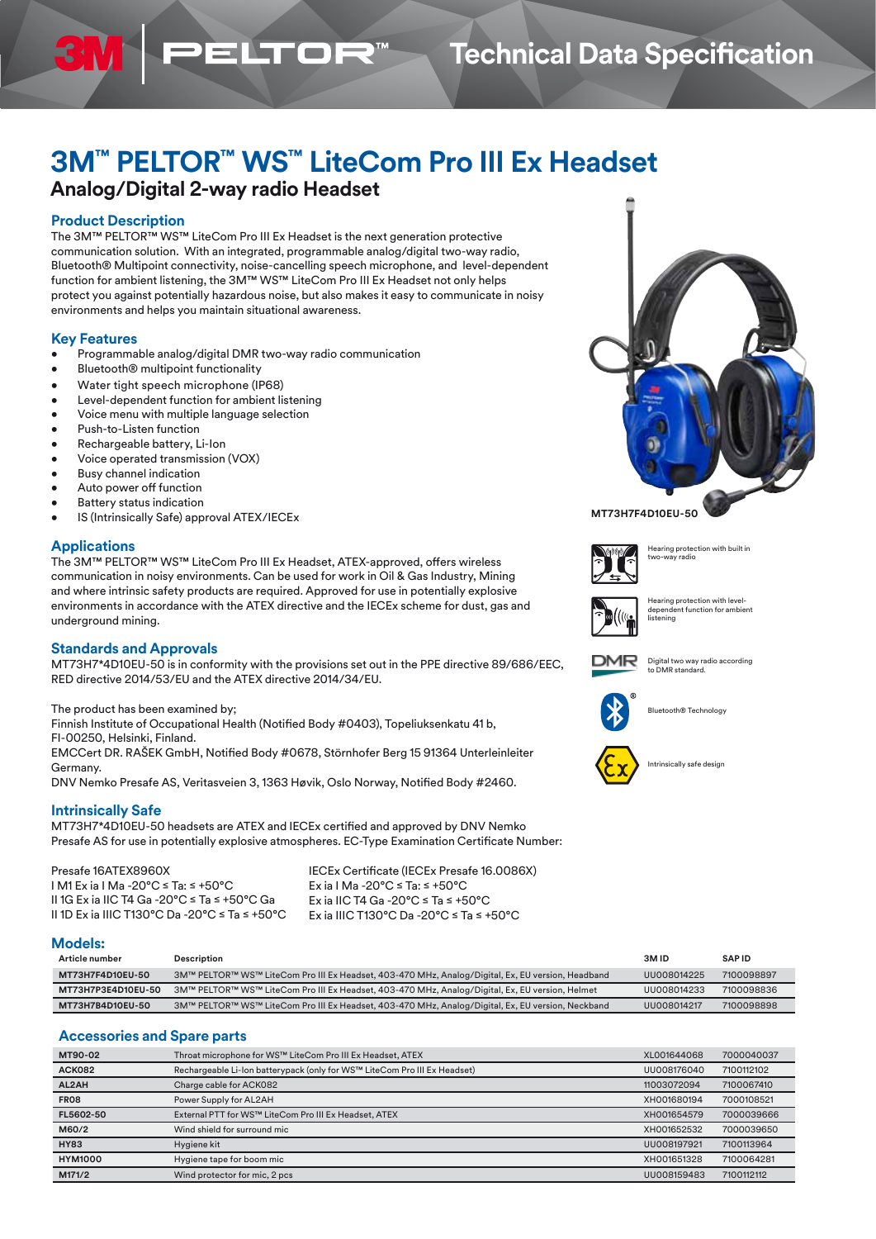## **Technical Data Specification**

# **3M™ PELTOR™ WS™ LiteCom Pro III Ex Headset**

## **Analog/Digital 2-way radio Headset**

### **Product Description**

The 3M™ PELTOR™ WS™ LiteCom Pro III Ex Headset is the next generation protective communication solution. With an integrated, programmable analog/digital two-way radio, Bluetooth® Multipoint connectivity, noise-cancelling speech microphone, and level-dependent function for ambient listening, the 3M™ WS™ LiteCom Pro III Ex Headset not only helps protect you against potentially hazardous noise, but also makes it easy to communicate in noisy environments and helps you maintain situational awareness.

**ELTOR** 

#### **Key Features**

- Programmable analog/digital DMR two-way radio communication
- Bluetooth® multipoint functionality
- Water tight speech microphone (IP68)
- Level-dependent function for ambient listening
- Voice menu with multiple language selection
- Push-to-Listen function
- Rechargeable battery, Li-Ion
- Voice operated transmission (VOX)
- Busy channel indication
- Auto power off function
- **Battery status indication**
- IS (Intrinsically Safe) approval ATEX/IECEx

#### **Applications**

The 3M™ PELTOR™ WS™ LiteCom Pro III Ex Headset, ATEX-approved, offers wireless communication in noisy environments. Can be used for work in Oil & Gas Industry, Mining and where intrinsic safety products are required. Approved for use in potentially explosive environments in accordance with the ATEX directive and the IECEx scheme for dust, gas and underground mining.

#### **Standards and Approvals**

MT73H7\*4D10EU-50 is in conformity with the provisions set out in the PPE directive 89/686/EEC, RED directive 2014/53/EU and the ATEX directive 2014/34/EU.

The product has been examined by;

Finnish Institute of Occupational Health (Notified Body #0403), Topeliuksenkatu 41 b, FI-00250, Helsinki, Finland. EMCCert DR. RAŠEK GmbH, Notified Body #0678, Störnhofer Berg 15 91364 Unterleinleiter

Germany.

DNV Nemko Presafe AS, Veritasveien 3, 1363 Høvik, Oslo Norway, Notified Body #2460.

### **Intrinsically Safe**

MT73H7\*4D10EU-50 headsets are ATEX and IECEx certified and approved by DNV Nemko Presafe AS for use in potentially explosive atmospheres. EC-Type Examination Certificate Number:

| Presafe 16ATEX8960X                           |
|-----------------------------------------------|
| I M1 Ex ia I Ma -20°C ≤ Ta: ≤ +50°C           |
| II 1G Ex ia IIC T4 Ga -20°C ≤ Ta ≤ +50°C Ga   |
| II 1D Ex ia IIIC T130°C Da -20°C ≤ Ta ≤ +50°C |

IECEx Certificate (IECEx Presafe 16.0086X) Ex ia I Ma -20°C ≤ Ta: ≤ +50°C Ex ia IIC T4 Ga -20°C ≤ Ta ≤ +50°C Ex ia IIIC T130°C Da -20°C ≤ Ta ≤ +50°C

#### **Models:**

| Article number     | Description                                                                                       | 3M <sub>ID</sub> | <b>SAPID</b> |
|--------------------|---------------------------------------------------------------------------------------------------|------------------|--------------|
| MT73H7F4D10EU-50   | 3M™ PELTOR™ WS™ LiteCom Pro III Ex Headset, 403-470 MHz, Analog/Digital, Ex, EU version, Headband | UU008014225      | 7100098897   |
| MT73H7P3E4D10EU-50 | 3M™ PELTOR™ WS™ LiteCom Pro III Ex Headset, 403-470 MHz, Analog/Digital, Ex, EU version, Helmet   | UU008014233      | 7100098836   |
| MT73H7B4D10EU-50   | 3M™ PELTOR™ WS™ LiteCom Pro III Ex Headset, 403-470 MHz, Analog/Digital, Ex, EU version, Neckband | UU008014217      | 7100098898   |

### **Accessories and Spare parts**

| MT90-02        | Throat microphone for WS™ LiteCom Pro III Ex Headset, ATEX                | XL001644068 | 7000040037 |
|----------------|---------------------------------------------------------------------------|-------------|------------|
| ACK082         | Rechargeable Li-Ion batterypack (only for WS™ LiteCom Pro III Ex Headset) | UU008176040 | 7100112102 |
| AL2AH          | Charge cable for ACK082                                                   | 11003072094 | 7100067410 |
| <b>FR08</b>    | Power Supply for AL2AH                                                    | XH001680194 | 7000108521 |
| FL5602-50      | External PTT for WS™ LiteCom Pro III Ex Headset, ATEX                     | XH001654579 | 7000039666 |
| M60/2          | Wind shield for surround mic                                              | XH001652532 | 7000039650 |
| <b>HY83</b>    | Hygiene kit                                                               | UU008197921 | 7100113964 |
| <b>HYM1000</b> | Hygiene tape for boom mic                                                 | XH001651328 | 7100064281 |
| M171/2         | Wind protector for mic, 2 pcs                                             | UU008159483 | 7100112112 |





Hearing protection with built in two-way radio



Hearing protection with levelnt function for ambient listening



Digital two way radio according to DMR standard.



Bluetooth® Technology





- 
-